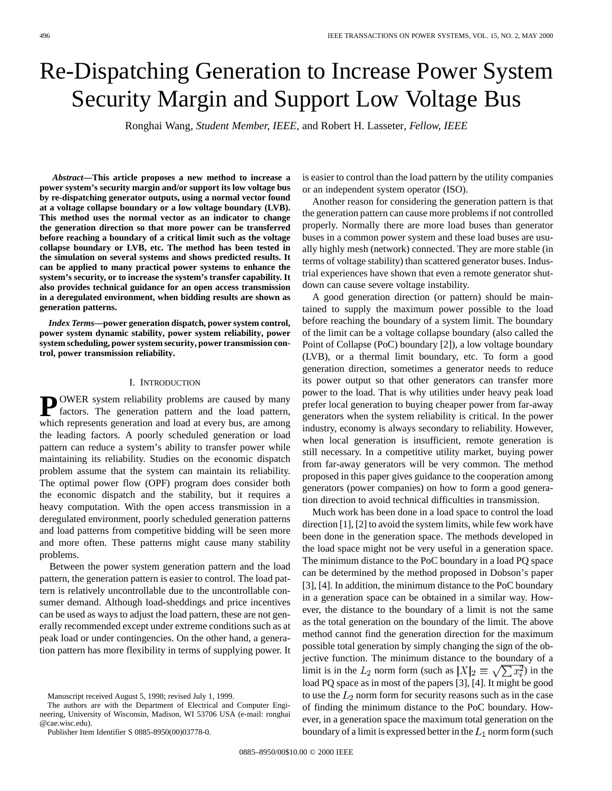# Re-Dispatching Generation to Increase Power System Security Margin and Support Low Voltage Bus

Ronghai Wang*, Student Member, IEEE,* and Robert H. Lasseter*, Fellow, IEEE*

*Abstract—***This article proposes a new method to increase a power system's security margin and/or support its low voltage bus by re-dispatching generator outputs, using a normal vector found at a voltage collapse boundary or a low voltage boundary (LVB). This method uses the normal vector as an indicator to change the generation direction so that more power can be transferred before reaching a boundary of a critical limit such as the voltage collapse boundary or LVB, etc. The method has been tested in the simulation on several systems and shows predicted results. It can be applied to many practical power systems to enhance the system's security, or to increase the system's transfer capability. It also provides technical guidance for an open access transmission in a deregulated environment, when bidding results are shown as generation patterns.**

*Index Terms—***power generation dispatch, power system control, power system dynamic stability, power system reliability, power system scheduling, power system security, power transmission control, power transmission reliability.**

### I. INTRODUCTION

**P** OWER system reliability problems are caused by many factors. The generation pattern and the load pattern, which represents generation and load at every bus, are among the leading factors. A poorly scheduled generation or load pattern can reduce a system's ability to transfer power while maintaining its reliability. Studies on the economic dispatch problem assume that the system can maintain its reliability. The optimal power flow (OPF) program does consider both the economic dispatch and the stability, but it requires a heavy computation. With the open access transmission in a deregulated environment, poorly scheduled generation patterns and load patterns from competitive bidding will be seen more and more often. These patterns might cause many stability problems.

Between the power system generation pattern and the load pattern, the generation pattern is easier to control. The load pattern is relatively uncontrollable due to the uncontrollable consumer demand. Although load-sheddings and price incentives can be used as ways to adjust the load pattern, these are not generally recommended except under extreme conditions such as at peak load or under contingencies. On the other hand, a generation pattern has more flexibility in terms of supplying power. It

The authors are with the Department of Electrical and Computer Engineering, University of Wisconsin, Madison, WI 53706 USA (e-mail: ronghai @cae.wisc.edu).

Publisher Item Identifier S 0885-8950(00)03778-0.

is easier to control than the load pattern by the utility companies or an independent system operator (ISO).

Another reason for considering the generation pattern is that the generation pattern can cause more problems if not controlled properly. Normally there are more load buses than generator buses in a common power system and these load buses are usually highly mesh (network) connected. They are more stable (in terms of voltage stability) than scattered generator buses. Industrial experiences have shown that even a remote generator shutdown can cause severe voltage instability.

A good generation direction (or pattern) should be maintained to supply the maximum power possible to the load before reaching the boundary of a system limit. The boundary of the limit can be a voltage collapse boundary (also called the Point of Collapse (PoC) boundary [2]), a low voltage boundary (LVB), or a thermal limit boundary, etc. To form a good generation direction, sometimes a generator needs to reduce its power output so that other generators can transfer more power to the load. That is why utilities under heavy peak load prefer local generation to buying cheaper power from far-away generators when the system reliability is critical. In the power industry, economy is always secondary to reliability. However, when local generation is insufficient, remote generation is still necessary. In a competitive utility market, buying power from far-away generators will be very common. The method proposed in this paper gives guidance to the cooperation among generators (power companies) on how to form a good generation direction to avoid technical difficulties in transmission.

Much work has been done in a load space to control the load direction [1], [2] to avoid the system limits, while few work have been done in the generation space. The methods developed in the load space might not be very useful in a generation space. The minimum distance to the PoC boundary in a load PQ space can be determined by the method proposed in Dobson's paper [3], [4]. In addition, the minimum distance to the PoC boundary in a generation space can be obtained in a similar way. However, the distance to the boundary of a limit is not the same as the total generation on the boundary of the limit. The above method cannot find the generation direction for the maximum possible total generation by simply changing the sign of the objective function. The minimum distance to the boundary of a limit is in the  $L_2$  norm form (such as  $|X|_2 \equiv \sqrt{\sum x_i^2}$ ) in the load PQ space as in most of the papers [3], [4]. It might be good to use the  $L_2$  norm form for security reasons such as in the case of finding the minimum distance to the PoC boundary. However, in a generation space the maximum total generation on the boundary of a limit is expressed better in the  $L_1$  norm form (such

Manuscript received August 5, 1998; revised July 1, 1999.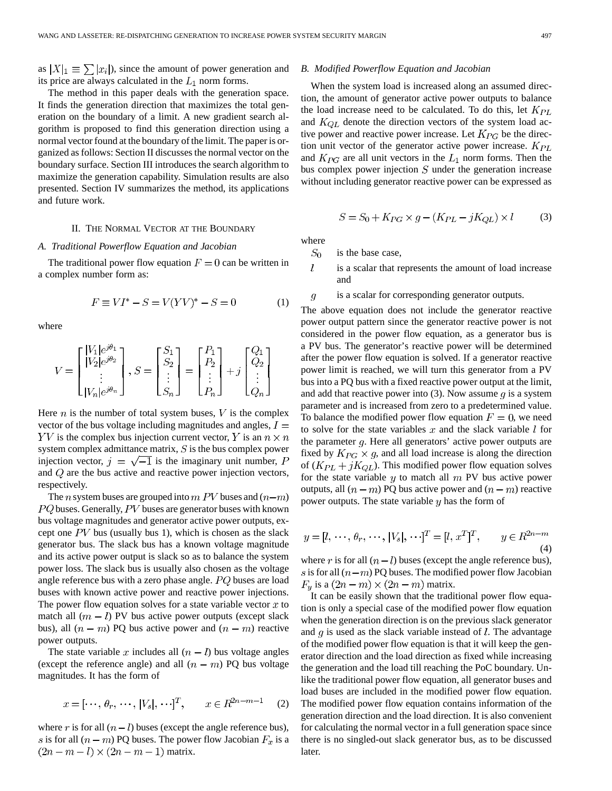The method in this paper deals with the generation space. It finds the generation direction that maximizes the total generation on the boundary of a limit. A new gradient search algorithm is proposed to find this generation direction using a normal vector found at the boundary of the limit. The paper is organized as follows: Section II discusses the normal vector on the boundary surface. Section III introduces the search algorithm to maximize the generation capability. Simulation results are also presented. Section IV summarizes the method, its applications and future work.

## II. THE NORMAL VECTOR AT THE BOUNDARY

#### *A. Traditional Powerflow Equation and Jacobian*

The traditional power flow equation  $F = 0$  can be written in a complex number form as:

$$
F \equiv VI^* - S = V(YV)^* - S = 0 \tag{1}
$$

where

$$
V = \begin{bmatrix} |V_1|e^{j\theta_1} \\ |V_2|e^{j\theta_2} \\ \vdots \\ |V_n|e^{j\theta_n} \end{bmatrix}, S = \begin{bmatrix} S_1 \\ S_2 \\ \vdots \\ S_n \end{bmatrix} = \begin{bmatrix} P_1 \\ P_2 \\ \vdots \\ P_n \end{bmatrix} + j \begin{bmatrix} Q_1 \\ Q_2 \\ \vdots \\ Q_n \end{bmatrix}
$$

Here *n* is the number of total system buses,  $V$  is the complex vector of the bus voltage including magnitudes and angles,  $I =$  $i$  is the complex bus injection current vector, Y is an  $n \times n$ system complex admittance matrix,  $S$  is the bus complex power injection vector,  $j = \sqrt{-1}$  is the imaginary unit number, P and  $Q$  are the bus active and reactive power injection vectors, respectively.

The *n* system buses are grouped into  $m$  PV buses and  $(n-m)$  $PQ$  buses. Generally,  $PV$  buses are generator buses with known bus voltage magnitudes and generator active power outputs, except one  $PV$  bus (usually bus 1), which is chosen as the slack generator bus. The slack bus has a known voltage magnitude and its active power output is slack so as to balance the system power loss. The slack bus is usually also chosen as the voltage angle reference bus with a zero phase angle.  $PQ$  buses are load buses with known active power and reactive power injections. The power flow equation solves for a state variable vector  $x$  to match all  $(m - l)$  PV bus active power outputs (except slack bus), all  $(n - m)$  PQ bus active power and  $(n - m)$  reactive power outputs.

The state variable x includes all  $(n - l)$  bus voltage angles (except the reference angle) and all  $(n - m)$  PQ bus voltage magnitudes. It has the form of

$$
x = [\cdots, \theta_r, \cdots, |V_s|, \cdots]^T, \qquad x \in R^{2n-m-1}
$$
 (2)

where r is for all  $(n - l)$  buses (except the angle reference bus), s is for all  $(n - m)$  PQ buses. The power flow Jacobian  $F_x$  is a  $(2n-m-l)\times(2n-m-1)$  matrix.

#### *B. Modified Powerflow Equation and Jacobian*

When the system load is increased along an assumed direction, the amount of generator active power outputs to balance the load increase need to be calculated. To do this, let  $K_{PL}$ and  $K_{OL}$  denote the direction vectors of the system load active power and reactive power increase. Let  $K_{PG}$  be the direction unit vector of the generator active power increase.  $K_{PL}$ and  $K_{PG}$  are all unit vectors in the  $L_1$  norm forms. Then the bus complex power injection  $S$  under the generation increase without including generator reactive power can be expressed as

$$
S = S_0 + K_{PG} \times g - (K_{PL} - jK_{QL}) \times l \tag{3}
$$

where

- $S_0$ is the base case,
- $\overline{l}$ is a scalar that represents the amount of load increase and

$$
g
$$
 is a scalar for corresponding generator outputs.

The above equation does not include the generator reactive power output pattern since the generator reactive power is not considered in the power flow equation, as a generator bus is a PV bus. The generator's reactive power will be determined after the power flow equation is solved. If a generator reactive power limit is reached, we will turn this generator from a PV bus into a PQ bus with a fixed reactive power output at the limit, and add that reactive power into (3). Now assume  $q$  is a system parameter and is increased from zero to a predetermined value. To balance the modified power flow equation  $F = 0$ , we need to solve for the state variables x and the slack variable  $l$  for the parameter  $q$ . Here all generators' active power outputs are fixed by  $K_{PG} \times g$ , and all load increase is along the direction of  $(K_{PL} + jK_{QL})$ . This modified power flow equation solves for the state variable  $y$  to match all  $m$  PV bus active power outputs, all  $(n - m)$  PQ bus active power and  $(n - m)$  reactive power outputs. The state variable  $y$  has the form of

$$
y = [l, \dots, \theta_r, \dots, |V_s|, \dots]^T = [l, x^T]^T, \qquad y \in R^{2n-m}
$$
<sup>(4)</sup>

where r is for all  $(n - l)$  buses (except the angle reference bus), s is for all  $(n-m)$  PQ buses. The modified power flow Jacobian  $F_y$  is a  $(2n-m) \times (2n-m)$  matrix.

It can be easily shown that the traditional power flow equation is only a special case of the modified power flow equation when the generation direction is on the previous slack generator and  $q$  is used as the slack variable instead of  $l$ . The advantage of the modified power flow equation is that it will keep the generator direction and the load direction as fixed while increasing the generation and the load till reaching the PoC boundary. Unlike the traditional power flow equation, all generator buses and load buses are included in the modified power flow equation. The modified power flow equation contains information of the generation direction and the load direction. It is also convenient for calculating the normal vector in a full generation space since there is no singled-out slack generator bus, as to be discussed later.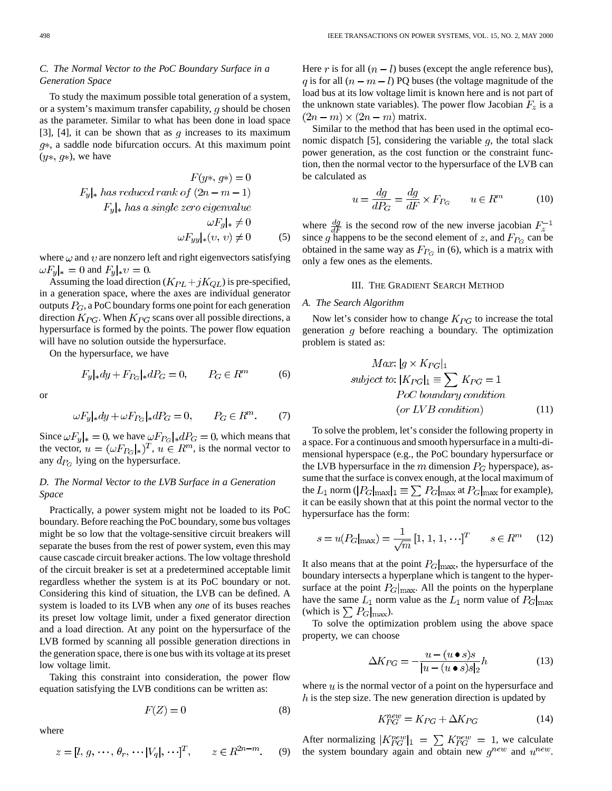## *C. The Normal Vector to the PoC Boundary Surface in a Generation Space*

To study the maximum possible total generation of a system, or a system's maximum transfer capability,  $q$  should be chosen as the parameter. Similar to what has been done in load space [3], [4], it can be shown that as q increases to its maximum  $q*$ , a saddle node bifurcation occurs. At this maximum point  $(y*, g*)$ , we have

$$
F(y*, g*) = 0
$$
  
\n $F_y|_*$  has reduced rank of  $(2n - m - 1)$   
\n $F_y|_*$  has a single zero eigenvalue  
\n
$$
\omega F_y|_* \neq 0
$$
  
\n
$$
\omega F_{yy}|_*(v, v) \neq 0
$$
 (5)

where  $\omega$  and  $\upsilon$  are nonzero left and right eigenvectors satisfying  $\omega F_y|_{\ast} = 0$  and  $F_y|_{\ast} v = 0$ .

Assuming the load direction  $(K_{PL} + jK_{QL})$  is pre-specified, in a generation space, where the axes are individual generator outputs  $P_G$ , a PoC boundary forms one point for each generation direction  $K_{PG}$ . When  $K_{PG}$  scans over all possible directions, a hypersurface is formed by the points. The power flow equation will have no solution outside the hypersurface.

On the hypersurface, we have

$$
F_y|_* dy + F_{P_G}|_* dP_G = 0, \qquad P_G \in R^m \tag{6}
$$

or

$$
\omega F_y |_* dy + \omega F_{P_G} |_* dP_G = 0, \qquad P_G \in R^m. \tag{7}
$$

Since  $\omega F_y|_{*} = 0$ , we have  $\omega F_{P_G}|_* dP_G = 0$ , which means that the vector,  $u = (\omega F_{P_G}|_*)^T$ ,  $u \in R^m$ , is the normal vector to any  $d_{P_G}$  lying on the hypersurface.

# *D. The Normal Vector to the LVB Surface in a Generation Space*

Practically, a power system might not be loaded to its PoC boundary. Before reaching the PoC boundary, some bus voltages might be so low that the voltage-sensitive circuit breakers will separate the buses from the rest of power system, even this may cause cascade circuit breaker actions. The low voltage threshold of the circuit breaker is set at a predetermined acceptable limit regardless whether the system is at its PoC boundary or not. Considering this kind of situation, the LVB can be defined. A system is loaded to its LVB when any *one* of its buses reaches its preset low voltage limit, under a fixed generator direction and a load direction. At any point on the hypersurface of the LVB formed by scanning all possible generation directions in the generation space, there is one bus with its voltage at its preset low voltage limit.

Taking this constraint into consideration, the power flow equation satisfying the LVB conditions can be written as:

$$
F(Z) = 0 \tag{8}
$$

where

$$
z = [l, g, \cdots, \theta_r, \cdots |V_q|, \cdots]^T, \qquad z \in R^{2n-m}.
$$
 (9)

Here r is for all  $(n - l)$  buses (except the angle reference bus), q is for all  $(n - m - l)$  PQ buses (the voltage magnitude of the load bus at its low voltage limit is known here and is not part of the unknown state variables). The power flow Jacobian  $F_z$  is a  $(2n-m)\times(2n-m)$  matrix.

Similar to the method that has been used in the optimal economic dispatch [5], considering the variable  $q$ , the total slack power generation, as the cost function or the constraint function, then the normal vector to the hypersurface of the LVB can be calculated as

$$
u = \frac{dg}{dP_G} = \frac{dg}{dF} \times F_{P_G} \qquad u \in R^m \tag{10}
$$

where  $\frac{dg}{dF}$  is the second row of the new inverse jacobian  $F_z^{-1}$ since g happens to be the second element of z, and  $F_{P_G}$  can be obtained in the same way as  $F_{P_G}$  in (6), which is a matrix with only a few ones as the elements.

## III. THE GRADIENT SEARCH METHOD

### *A. The Search Algorithm*

Now let's consider how to change  $K_{PG}$  to increase the total generation  $g$  before reaching a boundary. The optimization problem is stated as:

$$
Max: |g \times K_{PG}|_1
$$
  
subject to:  $|K_{PG}|_1 \equiv \sum K_{PG} = 1$   
*PoC boundary condition*  
(or *LVB condition*) (11)

To solve the problem, let's consider the following property in a space. For a continuous and smooth hypersurface in a multi-dimensional hyperspace (e.g., the PoC boundary hypersurface or the LVB hypersurface in the m dimension  $P_G$  hyperspace), assume that the surface is convex enough, at the local maximum of the  $L_1$  norm ( $|P_G|_{\text{max}}|_1 \equiv \sum P_G|_{\text{max}}$  at  $P_G|_{\text{max}}$  for example), it can be easily shown that at this point the normal vector to the hypersurface has the form:

$$
s = u(P_G|_{\text{max}}) = \frac{1}{\sqrt{m}} [1, 1, 1, \cdots]^T \qquad s \in R^m \tag{12}
$$

It also means that at the point  $P_G|_{\text{max}}$ , the hypersurface of the boundary intersects a hyperplane which is tangent to the hypersurface at the point  $P_G|_{\text{max}}$ . All the points on the hyperplane have the same  $L_1$  norm value as the  $L_1$  norm value of  $P_G|_{\text{max}}$ (which is  $\sum P_G$ <sub>max</sub>).

To solve the optimization problem using the above space property, we can choose

$$
\Delta K_{PG} = -\frac{u - (u \bullet s)s}{|u - (u \bullet s)s|_2}h\tag{13}
$$

where  $u$  is the normal vector of a point on the hypersurface and  $h$  is the step size. The new generation direction is updated by

$$
K_{PG}^{new} = K_{PG} + \Delta K_{PG} \tag{14}
$$

After normalizing  $|K_{PG}^{new}|_1 = \sum K_{PG}^{new} = 1$ , we calculate the system boundary again and obtain new  $g^{new}$  and  $u^{new}$ .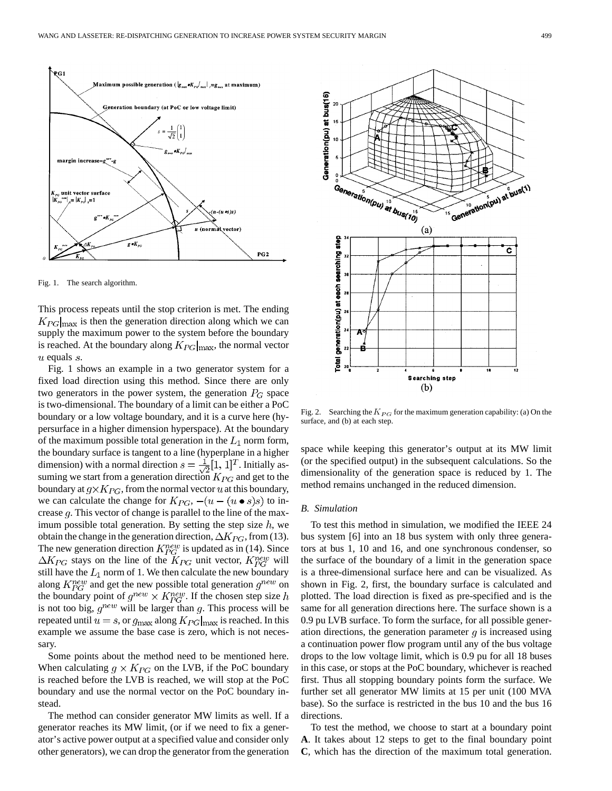

Fig. 1. The search algorithm.

This process repeats until the stop criterion is met. The ending  $K_{PG}|_{\text{max}}$  is then the generation direction along which we can supply the maximum power to the system before the boundary is reached. At the boundary along  $K_{PG}|_{\text{max}}$ , the normal vector  $u$  equals  $s$ .

Fig. 1 shows an example in a two generator system for a fixed load direction using this method. Since there are only two generators in the power system, the generation  $P_G$  space is two-dimensional. The boundary of a limit can be either a PoC boundary or a low voltage boundary, and it is a curve here (hypersurface in a higher dimension hyperspace). At the boundary of the maximum possible total generation in the  $L_1$  norm form, the boundary surface is tangent to a line (hyperplane in a higher dimension) with a normal direction  $s = \frac{1}{\sqrt{2}}[1, 1]^T$ . Initially assuming we start from a generation direction  $K_{PG}$  and get to the boundary at  $g \times K_{PG}$ , from the normal vector u at this boundary, we can calculate the change for  $K_{PG}$ ,  $-(u - (u \bullet s)s)$  to increase  $q$ . This vector of change is parallel to the line of the maximum possible total generation. By setting the step size  $h$ , we obtain the change in the generation direction,  $\Delta K_{PG}$ , from (13). The new generation direction  $K_{PG}^{new}$  is updated as in (14). Since  $\Delta K_{PG}$  stays on the line of the  $K_{PG}$  unit vector,  $K_{PG}^{new}$  will still have the  $L_1$  norm of 1. We then calculate the new boundary along  $K_{PG}^{new}$  and get the new possible total generation  $g^{new}$  on the boundary point of  $g^{new} \times K_{PG}^{new}$ . If the chosen step size h is not too big,  $g^{new}$  will be larger than g. This process will be repeated until  $u = s$ , or  $g_{\text{max}}$  along  $K_{PG}|_{\text{max}}$  is reached. In this example we assume the base case is zero, which is not necessary.

Some points about the method need to be mentioned here. When calculating  $g \times K_{PG}$  on the LVB, if the PoC boundary is reached before the LVB is reached, we will stop at the PoC boundary and use the normal vector on the PoC boundary instead.

The method can consider generator MW limits as well. If a generator reaches its MW limit, (or if we need to fix a generator's active power output at a specified value and consider only other generators), we can drop the generator from the generation



Fig. 2. Searching the  $K_{PG}$  for the maximum generation capability: (a) On the surface, and (b) at each step.

space while keeping this generator's output at its MW limit (or the specified output) in the subsequent calculations. So the dimensionality of the generation space is reduced by 1. The method remains unchanged in the reduced dimension.

## *B. Simulation*

To test this method in simulation, we modified the IEEE 24 bus system [6] into an 18 bus system with only three generators at bus 1, 10 and 16, and one synchronous condenser, so the surface of the boundary of a limit in the generation space is a three-dimensional surface here and can be visualized. As shown in Fig. 2, first, the boundary surface is calculated and plotted. The load direction is fixed as pre-specified and is the same for all generation directions here. The surface shown is a 0.9 pu LVB surface. To form the surface, for all possible generation directions, the generation parameter  $g$  is increased using a continuation power flow program until any of the bus voltage drops to the low voltage limit, which is 0.9 pu for all 18 buses in this case, or stops at the PoC boundary, whichever is reached first. Thus all stopping boundary points form the surface. We further set all generator MW limits at 15 per unit (100 MVA base). So the surface is restricted in the bus 10 and the bus 16 directions.

To test the method, we choose to start at a boundary point **A**. It takes about 12 steps to get to the final boundary point **C**, which has the direction of the maximum total generation.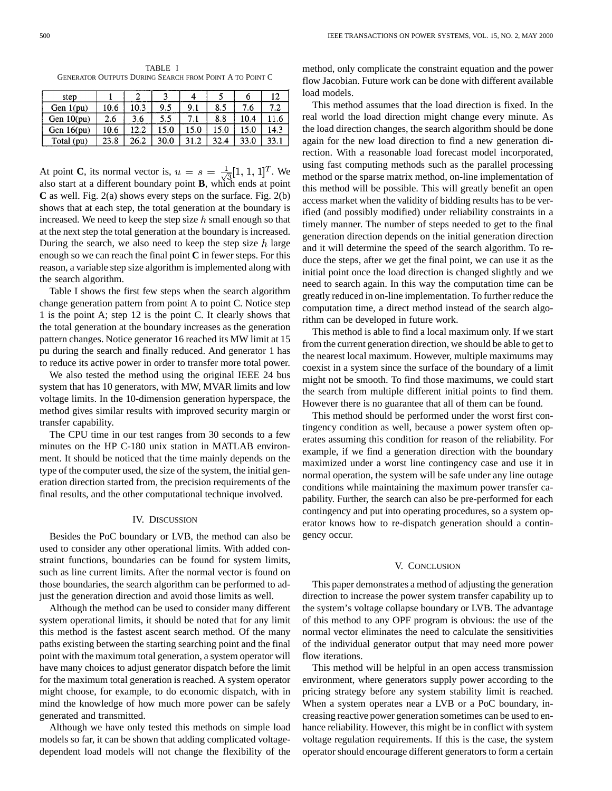TABLE I GENERATOR OUTPUTS DURING SEARCH FROM POINT A TO POINT C

| step         |      |      |      | 4       |      |      | 12   |
|--------------|------|------|------|---------|------|------|------|
| Gen $1(pu)$  | 10.6 | 10.3 | 9.5  | 9.1     | 8.5  | 7.6  | 7.2  |
| Gen $10(pu)$ | 2.6  | 3.6  | 5.5  | 7.1     | 8.8  | 10.4 | 11.6 |
| Gen $16(pu)$ | 10.6 | l2.2 | 15.0 | 15.0    | 15.0 | 15.0 | 14.3 |
| Total (pu)   | 23.8 | 26.2 | 30.0 | $\cdot$ | 32.4 | 33.0 | 33.1 |

At point **C**, its normal vector is,  $u = s = \frac{1}{\sqrt{2}}[1, 1, 1]^T$ . We also start at a different boundary point **B**, which ends at point **C** as well. Fig. 2(a) shows every steps on the surface. Fig. 2(b) shows that at each step, the total generation at the boundary is increased. We need to keep the step size  $h$  small enough so that at the next step the total generation at the boundary is increased. During the search, we also need to keep the step size  $h$  large enough so we can reach the final point **C** in fewer steps. For this reason, a variable step size algorithm is implemented along with the search algorithm.

Table I shows the first few steps when the search algorithm change generation pattern from point A to point C. Notice step 1 is the point A; step 12 is the point C. It clearly shows that the total generation at the boundary increases as the generation pattern changes. Notice generator 16 reached its MW limit at 15 pu during the search and finally reduced. And generator 1 has to reduce its active power in order to transfer more total power.

We also tested the method using the original IEEE 24 bus system that has 10 generators, with MW, MVAR limits and low voltage limits. In the 10-dimension generation hyperspace, the method gives similar results with improved security margin or transfer capability.

The CPU time in our test ranges from 30 seconds to a few minutes on the HP C-180 unix station in MATLAB environment. It should be noticed that the time mainly depends on the type of the computer used, the size of the system, the initial generation direction started from, the precision requirements of the final results, and the other computational technique involved.

## IV. DISCUSSION

Besides the PoC boundary or LVB, the method can also be used to consider any other operational limits. With added constraint functions, boundaries can be found for system limits, such as line current limits. After the normal vector is found on those boundaries, the search algorithm can be performed to adjust the generation direction and avoid those limits as well.

Although the method can be used to consider many different system operational limits, it should be noted that for any limit this method is the fastest ascent search method. Of the many paths existing between the starting searching point and the final point with the maximum total generation, a system operator will have many choices to adjust generator dispatch before the limit for the maximum total generation is reached. A system operator might choose, for example, to do economic dispatch, with in mind the knowledge of how much more power can be safely generated and transmitted.

Although we have only tested this methods on simple load models so far, it can be shown that adding complicated voltagedependent load models will not change the flexibility of the method, only complicate the constraint equation and the power flow Jacobian. Future work can be done with different available load models.

This method assumes that the load direction is fixed. In the real world the load direction might change every minute. As the load direction changes, the search algorithm should be done again for the new load direction to find a new generation direction. With a reasonable load forecast model incorporated, using fast computing methods such as the parallel processing method or the sparse matrix method, on-line implementation of this method will be possible. This will greatly benefit an open access market when the validity of bidding results has to be verified (and possibly modified) under reliability constraints in a timely manner. The number of steps needed to get to the final generation direction depends on the initial generation direction and it will determine the speed of the search algorithm. To reduce the steps, after we get the final point, we can use it as the initial point once the load direction is changed slightly and we need to search again. In this way the computation time can be greatly reduced in on-line implementation. To further reduce the computation time, a direct method instead of the search algorithm can be developed in future work.

This method is able to find a local maximum only. If we start from the current generation direction, we should be able to get to the nearest local maximum. However, multiple maximums may coexist in a system since the surface of the boundary of a limit might not be smooth. To find those maximums, we could start the search from multiple different initial points to find them. However there is no guarantee that all of them can be found.

This method should be performed under the worst first contingency condition as well, because a power system often operates assuming this condition for reason of the reliability. For example, if we find a generation direction with the boundary maximized under a worst line contingency case and use it in normal operation, the system will be safe under any line outage conditions while maintaining the maximum power transfer capability. Further, the search can also be pre-performed for each contingency and put into operating procedures, so a system operator knows how to re-dispatch generation should a contingency occur.

#### V. CONCLUSION

This paper demonstrates a method of adjusting the generation direction to increase the power system transfer capability up to the system's voltage collapse boundary or LVB. The advantage of this method to any OPF program is obvious: the use of the normal vector eliminates the need to calculate the sensitivities of the individual generator output that may need more power flow iterations.

This method will be helpful in an open access transmission environment, where generators supply power according to the pricing strategy before any system stability limit is reached. When a system operates near a LVB or a PoC boundary, increasing reactive power generation sometimes can be used to enhance reliability. However, this might be in conflict with system voltage regulation requirements. If this is the case, the system operator should encourage different generators to form a certain